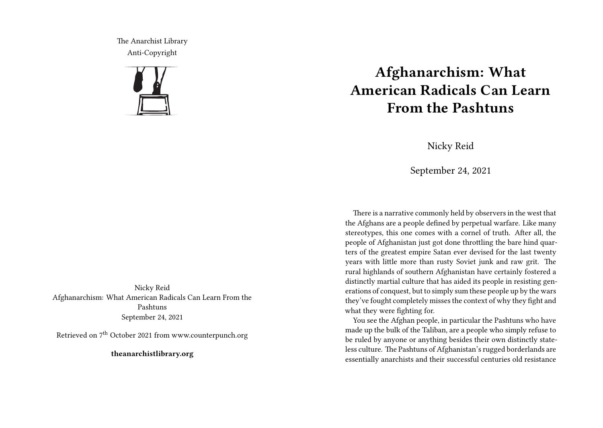The Anarchist Library Anti-Copyright



Nicky Reid Afghanarchism: What American Radicals Can Learn From the Pashtuns September 24, 2021

Retrieved on 7th October 2021 from www.counterpunch.org

**theanarchistlibrary.org**

## **Afghanarchism: What American Radicals Can Learn From the Pashtuns**

Nicky Reid

September 24, 2021

There is a narrative commonly held by observers in the west that the Afghans are a people defined by perpetual warfare. Like many stereotypes, this one comes with a cornel of truth. After all, the people of Afghanistan just got done throttling the bare hind quarters of the greatest empire Satan ever devised for the last twenty years with little more than rusty Soviet junk and raw grit. The rural highlands of southern Afghanistan have certainly fostered a distinctly martial culture that has aided its people in resisting generations of conquest, but to simply sum these people up by the wars they've fought completely misses the context of why they fight and what they were fighting for.

You see the Afghan people, in particular the Pashtuns who have made up the bulk of the Taliban, are a people who simply refuse to be ruled by anyone or anything besides their own distinctly stateless culture. The Pashtuns of Afghanistan's rugged borderlands are essentially anarchists and their successful centuries old resistance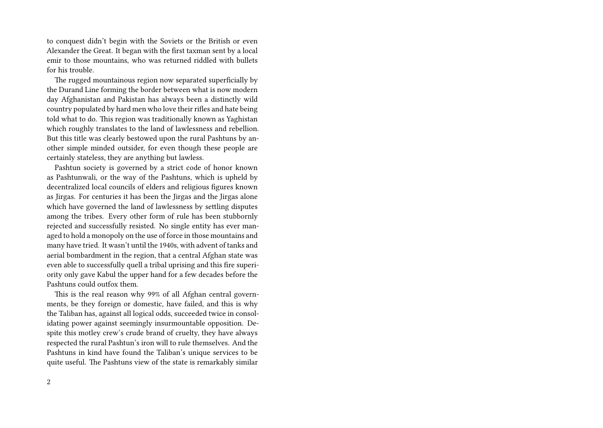to conquest didn't begin with the Soviets or the British or even Alexander the Great. It began with the first taxman sent by a local emir to those mountains, who was returned riddled with bullets for his trouble.

The rugged mountainous region now separated superficially by the Durand Line forming the border between what is now modern day Afghanistan and Pakistan has always been a distinctly wild country populated by hard men who love their rifles and hate being told what to do. This region was traditionally known as Yaghistan which roughly translates to the land of lawlessness and rebellion. But this title was clearly bestowed upon the rural Pashtuns by another simple minded outsider, for even though these people are certainly stateless, they are anything but lawless.

Pashtun society is governed by a strict code of honor known as Pashtunwali, or the way of the Pashtuns, which is upheld by decentralized local councils of elders and religious figures known as Jirgas. For centuries it has been the Jirgas and the Jirgas alone which have governed the land of lawlessness by settling disputes among the tribes. Every other form of rule has been stubbornly rejected and successfully resisted. No single entity has ever managed to hold a monopoly on the use of force in those mountains and many have tried. It wasn't until the 1940s, with advent of tanks and aerial bombardment in the region, that a central Afghan state was even able to successfully quell a tribal uprising and this fire superiority only gave Kabul the upper hand for a few decades before the Pashtuns could outfox them.

This is the real reason why 99% of all Afghan central governments, be they foreign or domestic, have failed, and this is why the Taliban has, against all logical odds, succeeded twice in consolidating power against seemingly insurmountable opposition. Despite this motley crew's crude brand of cruelty, they have always respected the rural Pashtun's iron will to rule themselves. And the Pashtuns in kind have found the Taliban's unique services to be quite useful. The Pashtuns view of the state is remarkably similar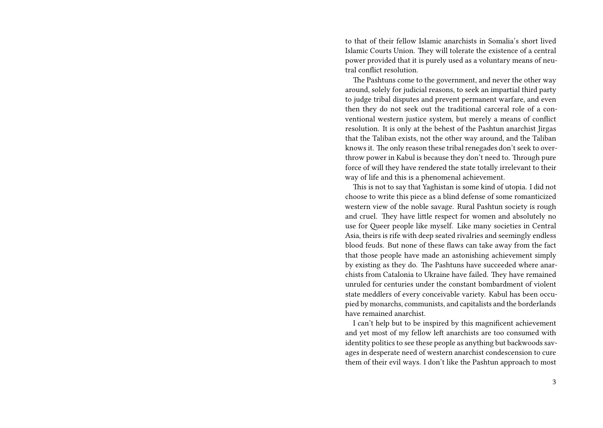to that of their fellow Islamic anarchists in Somalia's short lived Islamic Courts Union. They will tolerate the existence of a central power provided that it is purely used as a voluntary means of neutral conflict resolution.

The Pashtuns come to the government, and never the other way around, solely for judicial reasons, to seek an impartial third party to judge tribal disputes and prevent permanent warfare, and even then they do not seek out the traditional carceral role of a conventional western justice system, but merely a means of conflict resolution. It is only at the behest of the Pashtun anarchist Jirgas that the Taliban exists, not the other way around, and the Taliban knows it. The only reason these tribal renegades don't seek to overthrow power in Kabul is because they don't need to. Through pure force of will they have rendered the state totally irrelevant to their way of life and this is a phenomenal achievement.

This is not to say that Yaghistan is some kind of utopia. I did not choose to write this piece as a blind defense of some romanticized western view of the noble savage. Rural Pashtun society is rough and cruel. They have little respect for women and absolutely no use for Queer people like myself. Like many societies in Central Asia, theirs is rife with deep seated rivalries and seemingly endless blood feuds. But none of these flaws can take away from the fact that those people have made an astonishing achievement simply by existing as they do. The Pashtuns have succeeded where anarchists from Catalonia to Ukraine have failed. They have remained unruled for centuries under the constant bombardment of violent state meddlers of every conceivable variety. Kabul has been occupied by monarchs, communists, and capitalists and the borderlands have remained anarchist.

I can't help but to be inspired by this magnificent achievement and yet most of my fellow left anarchists are too consumed with identity politics to see these people as anything but backwoods savages in desperate need of western anarchist condescension to cure them of their evil ways. I don't like the Pashtun approach to most